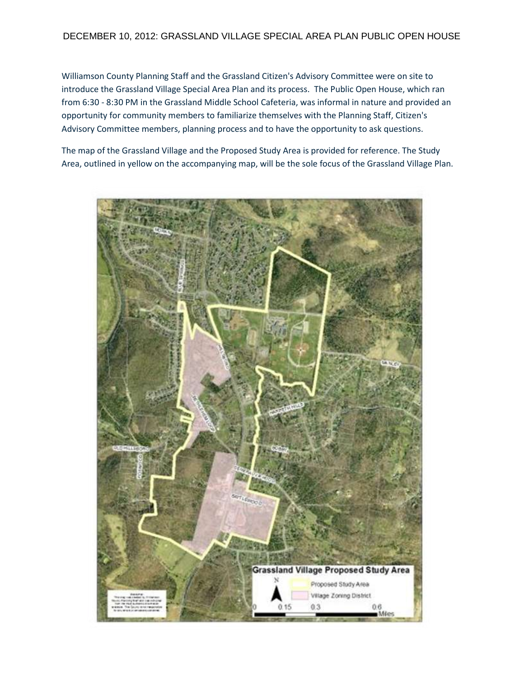## DECEMBER 10, 2012: GRASSLAND VILLAGE SPECIAL AREA PLAN PUBLIC OPEN HOUSE

Williamson County Planning Staff and the Grassland Citizen's Advisory Committee were on site to introduce the Grassland Village Special Area Plan and its process. The Public Open House, which ran from 6:30 - 8:30 PM in the Grassland Middle School Cafeteria, was informal in nature and provided an opportunity for community members to familiarize themselves with the Planning Staff, Citizen's Advisory Committee members, planning process and to have the opportunity to ask questions.

The map of the Grassland Village and the Proposed Study Area is provided for reference. The Study Area, outlined in yellow on the accompanying map, will be the sole focus of the Grassland Village Plan.